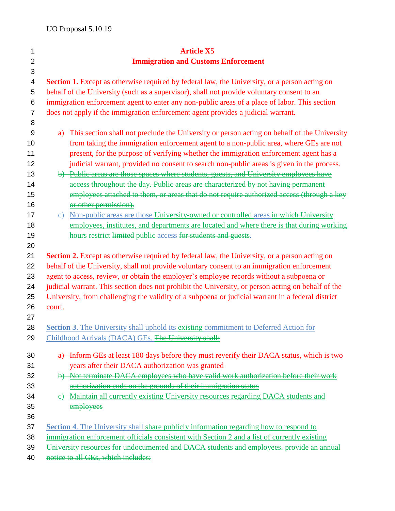| 1                | <b>Article X5</b>                                                                                     |
|------------------|-------------------------------------------------------------------------------------------------------|
| $\overline{2}$   | <b>Immigration and Customs Enforcement</b>                                                            |
| 3                |                                                                                                       |
| 4                | <b>Section 1.</b> Except as otherwise required by federal law, the University, or a person acting on  |
| 5                | behalf of the University (such as a supervisor), shall not provide voluntary consent to an            |
| 6                | immigration enforcement agent to enter any non-public areas of a place of labor. This section         |
| $\overline{7}$   | does not apply if the immigration enforcement agent provides a judicial warrant.                      |
| 8                |                                                                                                       |
| 9                | This section shall not preclude the University or person acting on behalf of the University<br>a)     |
| 10               | from taking the immigration enforcement agent to a non-public area, where GEs are not                 |
| 11               | present, for the purpose of verifying whether the immigration enforcement agent has a                 |
| 12               | judicial warrant, provided no consent to search non-public areas is given in the process.             |
| 13               | b) Public areas are those spaces where students, guests, and University employees have                |
| 14               | access throughout the day. Public areas are characterized by not having permanent                     |
| 15               | employees attached to them, or areas that do not require authorized access (through a key             |
| 16               | or other permission).                                                                                 |
| 17               | Non-public areas are those University-owned or controlled areas in which University<br>$\mathbf{C}$ ) |
| 18               | employees, institutes, and departments are located and where there is that during working             |
| 19               | hours restrict limited public access for students and guests.                                         |
| 20               |                                                                                                       |
| 21               | <b>Section 2.</b> Except as otherwise required by federal law, the University, or a person acting on  |
| 22               | behalf of the University, shall not provide voluntary consent to an immigration enforcement           |
| 23               | agent to access, review, or obtain the employer's employee records without a subpoena or              |
| 24               | judicial warrant. This section does not prohibit the University, or person acting on behalf of the    |
| 25               | University, from challenging the validity of a subpoena or judicial warrant in a federal district     |
| 26               | court.                                                                                                |
| 27               |                                                                                                       |
| 28               | <b>Section 3.</b> The University shall uphold its existing commitment to Deferred Action for          |
| 29               | Childhood Arrivals (DACA) GEs. The University shall:                                                  |
| 30               | a) Inform GEs at least 180 days before they must reverify their DACA status, which is two             |
| 31               | years after their DACA authorization was granted                                                      |
| 32               | b) Not terminate DACA employees who have valid work authorization before their work                   |
| 33               | authorization ends on the grounds of their immigration status                                         |
| 34               | Maintain all currently existing University resources regarding DACA students and<br>e                 |
| 35               | employees                                                                                             |
| 36               |                                                                                                       |
| 37               | <b>Section 4.</b> The University shall share publicly information regarding how to respond to         |
| 38               | immigration enforcement officials consistent with Section 2 and a list of currently existing          |
| 39               | University resources for undocumented and DACA students and employees. provide an annual              |
| $\Lambda$ $\cap$ | notice to all CEs which includes.                                                                     |

40 notice to all GEs, which includes: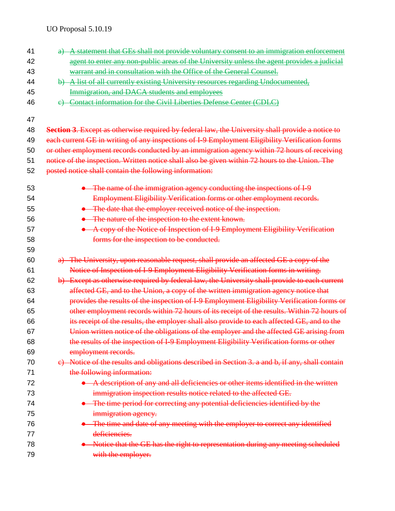UO Proposal 5.10.19

| 41 | a) A statement that GEs shall not provide voluntary consent to an immigration enforcement        |
|----|--------------------------------------------------------------------------------------------------|
| 42 | agent to enter any non-public areas of the University unless the agent provides a judicial       |
| 43 | warrant and in consultation with the Office of the General Counsel.                              |
| 44 | b) A list of all currently existing University resources regarding Undocumented,                 |
| 45 | Immigration, and DACA students and employees                                                     |
| 46 | e) Contact information for the Civil Liberties Defense Center (CDLC)                             |
| 47 |                                                                                                  |
| 48 | Section 3. Except as otherwise required by federal law, the University shall provide a notice to |
| 49 | each current GE in writing of any inspections of I-9 Employment Eligibility Verification forms   |
| 50 | or other employment records conducted by an immigration agency within 72 hours of receiving      |
| 51 | notice of the inspection. Written notice shall also be given within 72 hours to the Union. The   |
| 52 | posted notice shall contain the following information:                                           |
| 53 | • The name of the immigration agency conducting the inspections of I-9                           |
| 54 | Employment Eligibility Verification forms or other employment records.                           |
| 55 | • The date that the employer received notice of the inspection.                                  |
| 56 | • The nature of the inspection to the extent known.                                              |
| 57 | • A copy of the Notice of Inspection of I-9 Employment Eligibility Verification                  |
| 58 | forms for the inspection to be conducted.                                                        |
| 59 |                                                                                                  |
| 60 | a) The University, upon reasonable request, shall provide an affected GE a copy of the           |
| 61 | Notice of Inspection of I-9 Employment Eligibility Verification forms in writing.                |
| 62 | b) Except as otherwise required by federal law, the University shall provide to each current     |
| 63 | affected GE, and to the Union, a copy of the written immigration agency notice that              |
| 64 | provides the results of the inspection of I-9 Employment Eligibility Verification forms or       |
| 65 | other employment records within 72 hours of its receipt of the results. Within 72 hours of       |
| 66 | its receipt of the results, the employer shall also provide to each affected GE, and to the      |
| 67 | Union written notice of the obligations of the employer and the affected GE arising from         |
| 68 | the results of the inspection of I 9 Employment Eligibility Verification forms or other          |
| 69 | employment records.                                                                              |
| 70 | e) Notice of the results and obligations described in Section 3. a and b, if any, shall contain  |
| 71 | the following information:                                                                       |
| 72 | • A description of any and all deficiencies or other items identified in the written             |
| 73 | immigration inspection results notice related to the affected GE.                                |
| 74 | • The time period for correcting any potential deficiencies identified by the                    |
| 75 | immigration agency.                                                                              |
| 76 | • The time and date of any meeting with the employer to correct any identified                   |
| 77 | deficiencies.                                                                                    |
| 78 | • Notice that the GE has the right to representation during any meeting scheduled                |
| 79 | with the employer.                                                                               |